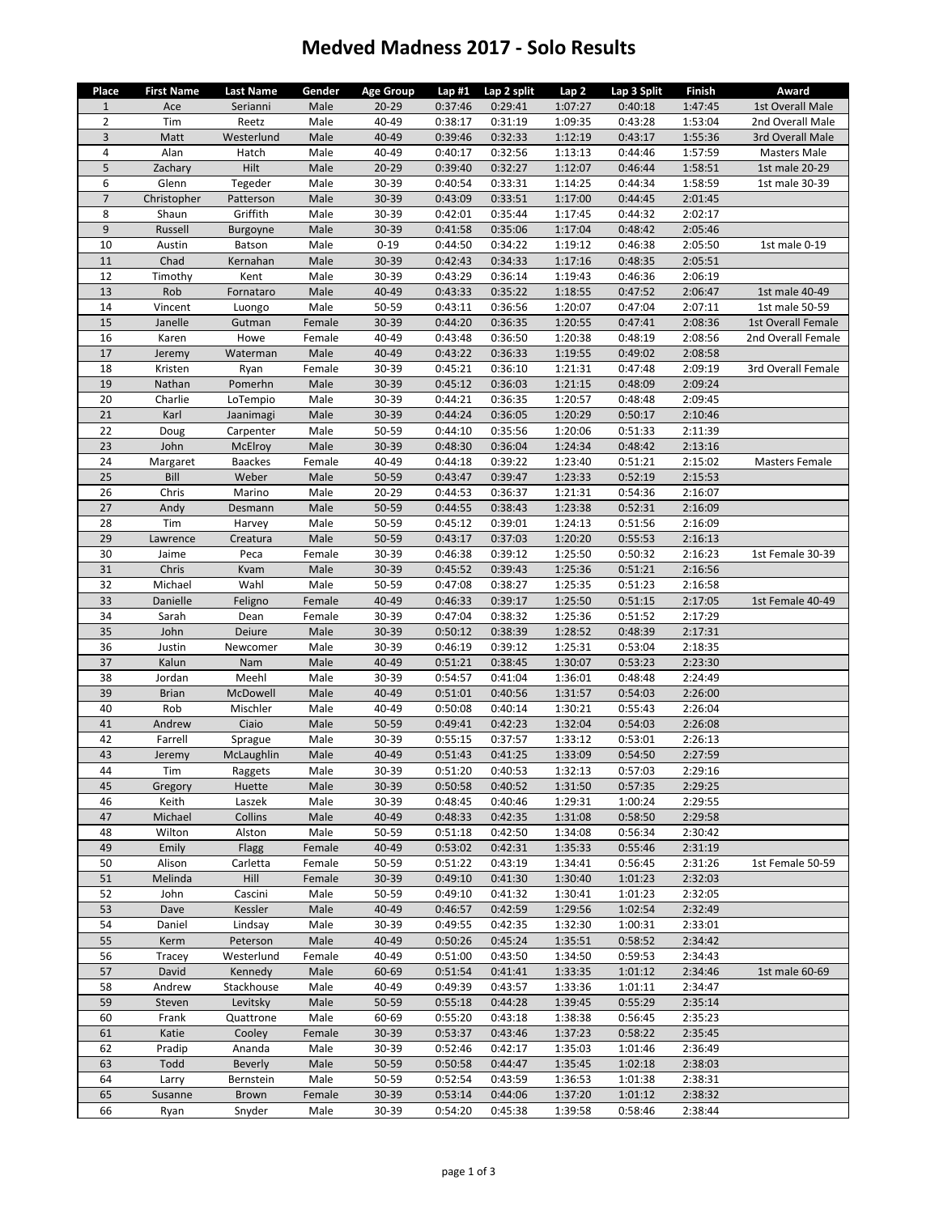## **Medved Madness 2017 ‐ Solo Results**

| Place          | <b>First Name</b> | Last Name       | Gender       | <b>Age Group</b> | Lap#1              | Lap 2 split        | Lap 2              | Lap 3 Split        | Finish             | Award                     |
|----------------|-------------------|-----------------|--------------|------------------|--------------------|--------------------|--------------------|--------------------|--------------------|---------------------------|
| $\mathbf{1}$   | Ace               | Serianni        | Male         | $20 - 29$        | 0:37:46            | 0:29:41            | 1:07:27            | 0:40:18            | 1:47:45            | 1st Overall Male          |
| $\overline{2}$ | Tim               | Reetz           | Male         | 40-49            | 0:38:17            | 0:31:19            | 1:09:35            | 0:43:28            | 1:53:04            | 2nd Overall Male          |
| 3              | Matt              | Westerlund      | Male         | 40-49            | 0:39:46            | 0:32:33            | 1:12:19            | 0:43:17            | 1:55:36            | 3rd Overall Male          |
| 4              | Alan              | Hatch           | Male         | 40-49            | 0:40:17            | 0:32:56            | 1:13:13            | 0:44:46            | 1:57:59            | Masters Male              |
| 5              | Zachary           | Hilt            | Male         | $20 - 29$        | 0:39:40            | 0:32:27            | 1:12:07            | 0:46:44            | 1:58:51            | 1st male 20-29            |
| 6              | Glenn             | Tegeder         | Male         | 30-39            | 0:40:54            | 0:33:31            | 1:14:25            | 0:44:34            | 1:58:59            | 1st male 30-39            |
| $\overline{7}$ | Christopher       | Patterson       | Male         | 30-39            | 0:43:09            | 0:33:51            | 1:17:00            | 0:44:45            | 2:01:45            |                           |
| 8              | Shaun             | Griffith        | Male         | 30-39            | 0:42:01            | 0:35:44            | 1:17:45            | 0:44:32            | 2:02:17            |                           |
| 9              | Russell           | Burgoyne        | Male         | 30-39            | 0:41:58            | 0:35:06            | 1:17:04            | 0:48:42            | 2:05:46            |                           |
| 10             | Austin            | Batson          | Male         | $0 - 19$         | 0:44:50            | 0:34:22            | 1:19:12            | 0:46:38            | 2:05:50            | 1st male 0-19             |
| 11             | Chad              | Kernahan        | Male         | 30-39            | 0:42:43            | 0:34:33            | 1:17:16            | 0:48:35            | 2:05:51            |                           |
| 12             | Timothy           | Kent            | Male         | 30-39            | 0:43:29            | 0:36:14            | 1:19:43            | 0:46:36            | 2:06:19            |                           |
| 13             | Rob               | Fornataro       | Male         | 40-49            | 0:43:33            | 0:35:22            | 1:18:55            | 0:47:52            | 2:06:47            | 1st male 40-49            |
| 14             | Vincent           | Luongo          | Male         | 50-59            | 0:43:11            | 0:36:56            | 1:20:07            | 0:47:04            | 2:07:11            | 1st male 50-59            |
| 15             | Janelle           | Gutman          | Female       | 30-39            | 0:44:20            | 0:36:35            | 1:20:55            | 0:47:41            | 2:08:36            | <b>1st Overall Female</b> |
| 16             | Karen             | Howe            | Female       | 40-49            | 0:43:48            | 0:36:50            | 1:20:38            | 0:48:19            | 2:08:56            | 2nd Overall Female        |
| 17             | Jeremy            | Waterman        | Male         | 40-49            | 0:43:22            | 0:36:33            | 1:19:55            | 0:49:02            | 2:08:58            |                           |
| 18             | Kristen           | Ryan            | Female       | 30-39            | 0:45:21            | 0:36:10            | 1:21:31            | 0:47:48            | 2:09:19            | 3rd Overall Female        |
| 19             | Nathan            | Pomerhn         | Male         | 30-39            | 0:45:12            | 0:36:03            | 1:21:15            | 0:48:09            | 2:09:24            |                           |
| 20             | Charlie           | LoTempio        | Male         | 30-39            | 0:44:21            | 0:36:35            | 1:20:57            | 0:48:48            | 2:09:45            |                           |
| 21             | Karl              | Jaanimagi       | Male         | 30-39            | 0:44:24            | 0:36:05            | 1:20:29            | 0:50:17            | 2:10:46            |                           |
| 22             | Doug              | Carpenter       | Male         | 50-59            | 0:44:10            | 0:35:56            | 1:20:06            | 0:51:33            | 2:11:39            |                           |
| 23             | John              | McElroy         | Male         | 30-39            | 0:48:30            | 0:36:04            | 1:24:34            | 0:48:42            | 2:13:16            |                           |
| 24             | Margaret          | <b>Baackes</b>  | Female       | 40-49            | 0:44:18            | 0:39:22            | 1:23:40            | 0:51:21            | 2:15:02            | Masters Female            |
| 25             | Bill              | Weber           | Male         | 50-59            | 0:43:47            | 0:39:47            | 1:23:33            | 0:52:19            | 2:15:53            |                           |
| 26             | Chris             | Marino          | Male         | 20-29            | 0:44:53            | 0:36:37            | 1:21:31            | 0:54:36            | 2:16:07            |                           |
| 27             | Andy              | Desmann         | Male         | 50-59            | 0:44:55            | 0:38:43            | 1:23:38            | 0:52:31            | 2:16:09            |                           |
| 28             | Tim               | Harvey          | Male         | 50-59            | 0:45:12            | 0:39:01            | 1:24:13            | 0:51:56            | 2:16:09            |                           |
| 29<br>30       | Lawrence          | Creatura        | Male         | 50-59<br>30-39   | 0:43:17            | 0:37:03            | 1:20:20            | 0:55:53            | 2:16:13            |                           |
| 31             | Jaime<br>Chris    | Peca            | Female       | 30-39            | 0:46:38<br>0:45:52 | 0:39:12<br>0:39:43 | 1:25:50<br>1:25:36 | 0:50:32<br>0:51:21 | 2:16:23<br>2:16:56 | 1st Female 30-39          |
| 32             | Michael           | Kvam<br>Wahl    | Male<br>Male | 50-59            | 0:47:08            | 0:38:27            | 1:25:35            | 0:51:23            | 2:16:58            |                           |
| 33             | Danielle          |                 | Female       | 40-49            | 0:46:33            | 0:39:17            | 1:25:50            | 0:51:15            | 2:17:05            | 1st Female 40-49          |
| 34             | Sarah             | Feligno<br>Dean | Female       | 30-39            | 0:47:04            | 0:38:32            | 1:25:36            | 0:51:52            | 2:17:29            |                           |
| 35             | John              | Deiure          | Male         | 30-39            | 0:50:12            | 0:38:39            | 1:28:52            | 0:48:39            | 2:17:31            |                           |
| 36             | Justin            | Newcomer        | Male         | 30-39            | 0:46:19            | 0:39:12            | 1:25:31            | 0:53:04            | 2:18:35            |                           |
| 37             | Kalun             | Nam             | Male         | 40-49            | 0:51:21            | 0:38:45            | 1:30:07            | 0:53:23            | 2:23:30            |                           |
| 38             | Jordan            | Meehl           | Male         | 30-39            | 0:54:57            | 0:41:04            | 1:36:01            | 0:48:48            | 2:24:49            |                           |
| 39             | <b>Brian</b>      | McDowell        | Male         | 40-49            | 0:51:01            | 0:40:56            | 1:31:57            | 0:54:03            | 2:26:00            |                           |
| 40             | Rob               | Mischler        | Male         | 40-49            | 0:50:08            | 0:40:14            | 1:30:21            | 0:55:43            | 2:26:04            |                           |
| 41             | Andrew            | Ciaio           | Male         | 50-59            | 0:49:41            | 0:42:23            | 1:32:04            | 0:54:03            | 2:26:08            |                           |
| 42             | Farrell           | Sprague         | Male         | 30-39            | 0:55:15            | 0:37:57            | 1:33:12            | 0:53:01            | 2:26:13            |                           |
| 43             | Jeremy            | McLaughlin      | Male         | 40-49            | 0:51:43            | 0:41:25            | 1:33:09            | 0:54:50            | 2:27:59            |                           |
| 44             | Tim               | Raggets         | Male         | 30-39            | 0:51:20            | 0:40:53            | 1:32:13            | 0:57:03            | 2:29:16            |                           |
| 45             | Gregory           | Huette          | Male         | 30-39            | 0:50:58            | 0:40:52            | 1:31:50            | 0:57:35            | 2:29:25            |                           |
| 46             | Keith             | Laszek          | Male         | 30-39            | 0:48:45            | 0:40:46            | 1:29:31            | 1:00:24            | 2:29:55            |                           |
| 47             | Michael           | Collins         | Male         | 40-49            | 0:48:33            | 0:42:35            | 1:31:08            | 0:58:50            | 2:29:58            |                           |
| 48             | Wilton            | Alston          | Male         | 50-59            | 0:51:18            | 0:42:50            | 1:34:08            | 0:56:34            | 2:30:42            |                           |
| 49             | Emily             | Flagg           | Female       | 40-49            | 0:53:02            | 0:42:31            | 1:35:33            | 0:55:46            | 2:31:19            |                           |
| 50             | Alison            | Carletta        | Female       | 50-59            | 0:51:22            | 0:43:19            | 1:34:41            | 0:56:45            | 2:31:26            | 1st Female 50-59          |
| 51             | Melinda           | Hill            | Female       | 30-39            | 0:49:10            | 0:41:30            | 1:30:40            | 1:01:23            | 2:32:03            |                           |
| 52             | John              | Cascini         | Male         | 50-59            | 0:49:10            | 0:41:32            | 1:30:41            | 1:01:23            | 2:32:05            |                           |
| 53             | Dave              | Kessler         | Male         | 40-49            | 0:46:57            | 0:42:59            | 1:29:56            | 1:02:54            | 2:32:49            |                           |
| 54             | Daniel            | Lindsay         | Male         | 30-39            | 0:49:55            | 0:42:35            | 1:32:30            | 1:00:31            | 2:33:01            |                           |
| 55             | Kerm              | Peterson        | Male         | 40-49            | 0:50:26            | 0:45:24            | 1:35:51            | 0:58:52            | 2:34:42            |                           |
| 56             | Tracey            | Westerlund      | Female       | 40-49            | 0:51:00            | 0:43:50            | 1:34:50            | 0:59:53            | 2:34:43            |                           |
| 57             | David             | Kennedy         | Male         | 60-69            | 0:51:54            | 0:41:41            | 1:33:35            | 1:01:12            | 2:34:46            | 1st male 60-69            |
| 58             | Andrew            | Stackhouse      | Male         | 40-49            | 0:49:39            | 0:43:57            | 1:33:36            | 1:01:11            | 2:34:47            |                           |
| 59             | Steven            | Levitsky        | Male         | 50-59            | 0:55:18            | 0:44:28            | 1:39:45            | 0:55:29            | 2:35:14            |                           |
| 60             | Frank             | Quattrone       | Male         | 60-69            | 0:55:20            | 0:43:18            | 1:38:38            | 0:56:45            | 2:35:23            |                           |
| 61             | Katie             | Cooley          | Female       | 30-39            | 0:53:37            | 0:43:46            | 1:37:23            | 0:58:22            | 2:35:45            |                           |
| 62             | Pradip            | Ananda          | Male         | 30-39            | 0:52:46            | 0:42:17            | 1:35:03            | 1:01:46            | 2:36:49            |                           |
| 63             | Todd              | Beverly         | Male         | 50-59            | 0:50:58            | 0:44:47            | 1:35:45            | 1:02:18            | 2:38:03            |                           |
| 64             | Larry             | Bernstein       | Male         | 50-59            | 0:52:54            | 0:43:59            | 1:36:53            | 1:01:38            | 2:38:31            |                           |
| 65             | Susanne           | Brown           | Female       | 30-39            | 0:53:14            | 0:44:06            | 1:37:20            | 1:01:12            | 2:38:32            |                           |
| 66             | Ryan              | Snyder          | Male         | 30-39            | 0:54:20            | 0:45:38            | 1:39:58            | 0:58:46            | 2:38:44            |                           |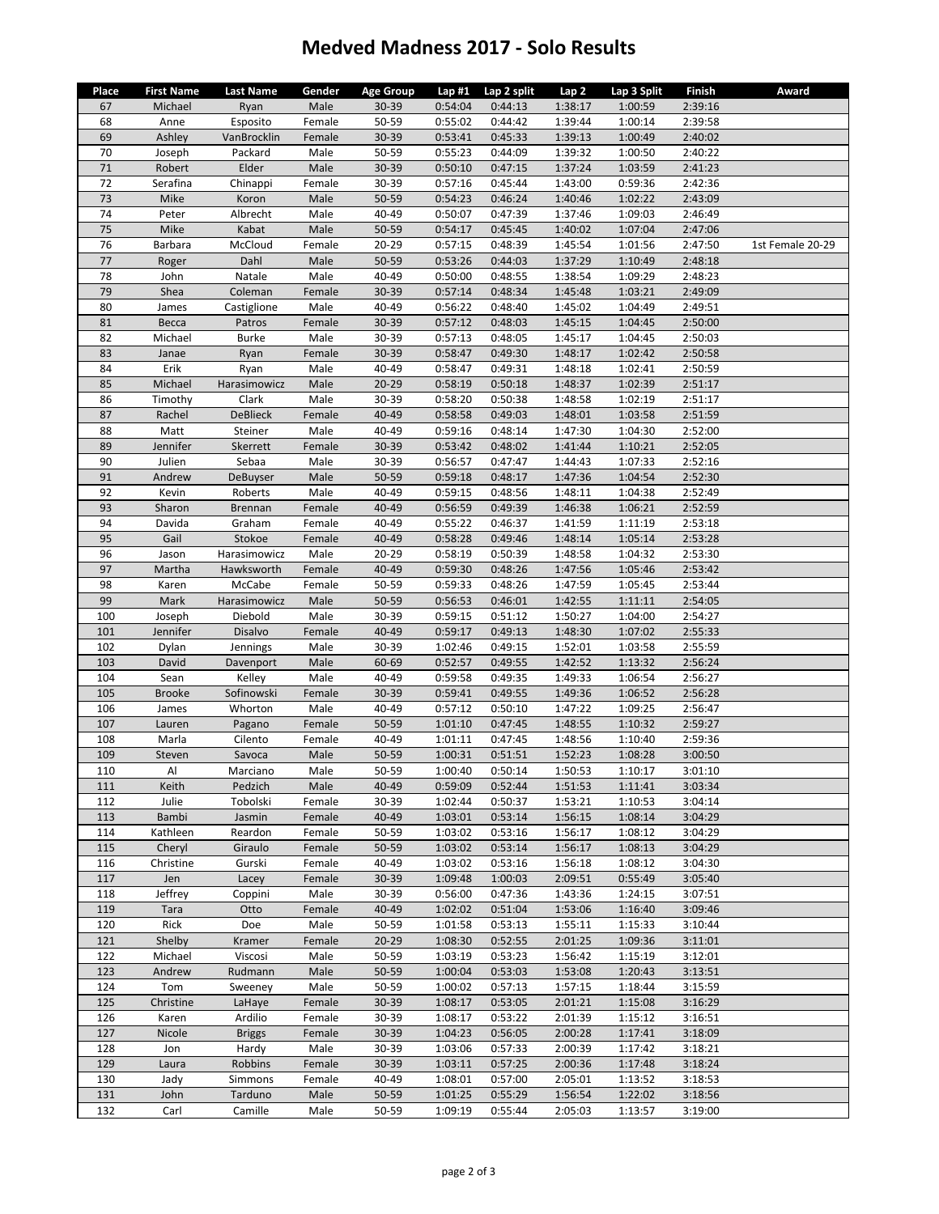## **Medved Madness 2017 ‐ Solo Results**

| Place      | <b>First Name</b>   | <b>Last Name</b>   | Gender           | <b>Age Group</b> | Lap#1              | Lap 2 split        | Lap 2              | Lap 3 Split        | Finish             | Award            |
|------------|---------------------|--------------------|------------------|------------------|--------------------|--------------------|--------------------|--------------------|--------------------|------------------|
| 67         | Michael             | Ryan               | Male             | 30-39            | 0:54:04            | 0:44:13            | 1:38:17            | 1:00:59            | 2:39:16            |                  |
| 68         | Anne                | Esposito           | Female           | 50-59            | 0:55:02            | 0:44:42            | 1:39:44            | 1:00:14            | 2:39:58            |                  |
| 69         | Ashley              | VanBrocklin        | Female           | 30-39            | 0:53:41            | 0:45:33            | 1:39:13            | 1:00:49            | 2:40:02            |                  |
| 70         | Joseph              | Packard            | Male             | 50-59            | 0:55:23            | 0:44:09            | 1:39:32            | 1:00:50            | 2:40:22            |                  |
| 71         | Robert              | Elder              | Male             | 30-39            | 0:50:10            | 0:47:15            | 1:37:24            | 1:03:59            | 2:41:23            |                  |
| 72         | Serafina            | Chinappi           | Female           | 30-39            | 0:57:16            | 0:45:44            | 1:43:00            | 0:59:36            | 2:42:36            |                  |
| 73         | Mike                | Koron              | Male             | 50-59            | 0:54:23            | 0:46:24            | 1:40:46            | 1:02:22            | 2:43:09            |                  |
| 74         | Peter               | Albrecht           | Male             | 40-49            | 0:50:07            | 0:47:39            | 1:37:46            | 1:09:03            | 2:46:49            |                  |
| $75\,$     | Mike                | Kabat              | Male             | 50-59            | 0:54:17            | 0:45:45            | 1:40:02            | 1:07:04            | 2:47:06            |                  |
| 76         | Barbara             | McCloud            | Female           | 20-29            | 0:57:15            | 0:48:39            | 1:45:54            | 1:01:56            | 2:47:50            | 1st Female 20-29 |
| 77         | Roger               | Dahl               | Male             | 50-59            | 0:53:26            | 0:44:03            | 1:37:29            | 1:10:49            | 2:48:18            |                  |
| 78         | John                | Natale             | Male             | 40-49            | 0:50:00            | 0:48:55            | 1:38:54            | 1:09:29            | 2:48:23            |                  |
| 79         | Shea                | Coleman            | Female           | 30-39            | 0:57:14            | 0:48:34            | 1:45:48            | 1:03:21            | 2:49:09            |                  |
| 80         | James               | Castiglione        | Male             | 40-49            | 0:56:22            | 0:48:40            | 1:45:02            | 1:04:49            | 2:49:51            |                  |
| 81         | Becca               | Patros             | Female           | 30-39            | 0:57:12            | 0:48:03            | 1:45:15            | 1:04:45            | 2:50:00            |                  |
| 82         | Michael             | <b>Burke</b>       | Male             | 30-39            | 0:57:13            | 0:48:05            | 1:45:17            | 1:04:45            | 2:50:03            |                  |
| 83         | Janae               | Ryan               | Female           | 30-39            | 0:58:47            | 0:49:30            | 1:48:17            | 1:02:42            | 2:50:58            |                  |
| 84         | Erik                | Ryan               | Male             | 40-49            | 0:58:47            | 0:49:31            | 1:48:18            | 1:02:41            | 2:50:59            |                  |
| 85         | Michael             | Harasimowicz       | Male             | $20 - 29$        | 0:58:19            | 0:50:18            | 1:48:37            | 1:02:39            | 2:51:17            |                  |
| 86         | Timothy             | Clark              | Male             | 30-39            | 0:58:20            | 0:50:38            | 1:48:58            | 1:02:19            | 2:51:17            |                  |
| 87         | Rachel              | <b>DeBlieck</b>    | Female           | 40-49            | 0:58:58            | 0:49:03            | 1:48:01            | 1:03:58            | 2:51:59            |                  |
| 88         | Matt                | Steiner            | Male             | 40-49            | 0:59:16            | 0:48:14            | 1:47:30            | 1:04:30            | 2:52:00            |                  |
| 89         | Jennifer            | Skerrett           | Female           | 30-39            | 0:53:42            | 0:48:02            | 1:41:44            | 1:10:21            | 2:52:05            |                  |
| 90         | Julien              | Sebaa              | Male             | 30-39            | 0:56:57            | 0:47:47            | 1:44:43            | 1:07:33            | 2:52:16            |                  |
| 91         | Andrew              | DeBuyser           | Male             | 50-59            | 0:59:18            | 0:48:17            | 1:47:36            | 1:04:54            | 2:52:30            |                  |
| 92         | Kevin               | Roberts            | Male             | 40-49            | 0:59:15            | 0:48:56            | 1:48:11            | 1:04:38            | 2:52:49            |                  |
| 93         | Sharon              | <b>Brennan</b>     | Female           | 40-49            | 0:56:59            | 0:49:39            | 1:46:38            | 1:06:21            | 2:52:59            |                  |
| 94         | Davida              | Graham             | Female           | 40-49            | 0:55:22            | 0:46:37            | 1:41:59            | 1:11:19            | 2:53:18            |                  |
| 95         | Gail                | Stokoe             | Female           | 40-49            | 0:58:28            | 0:49:46            | 1:48:14            | 1:05:14            | 2:53:28            |                  |
| 96         | Jason               | Harasimowicz       | Male             | 20-29            | 0:58:19            | 0:50:39            | 1:48:58            | 1:04:32            | 2:53:30            |                  |
| 97         | Martha              | Hawksworth         | Female           | 40-49            | 0:59:30            | 0:48:26            | 1:47:56            | 1:05:46            | 2:53:42            |                  |
| 98         | Karen               | McCabe             | Female           | 50-59            | 0:59:33            | 0:48:26            | 1:47:59            | 1:05:45            | 2:53:44            |                  |
| 99         | Mark                | Harasimowicz       | Male             | 50-59            | 0:56:53            | 0:46:01            | 1:42:55            | 1:11:11            | 2:54:05            |                  |
| 100        | Joseph              | Diebold            | Male             | 30-39            | 0:59:15            | 0:51:12            | 1:50:27            | 1:04:00            | 2:54:27            |                  |
| 101        | Jennifer            | Disalvo            | Female           | 40-49            | 0:59:17            | 0:49:13            | 1:48:30            | 1:07:02            | 2:55:33            |                  |
| 102        | Dylan               | Jennings           | Male             | 30-39            | 1:02:46            | 0:49:15            | 1:52:01            | 1:03:58            | 2:55:59            |                  |
| 103        | David               | Davenport          | Male             | 60-69            | 0:52:57            | 0:49:55            | 1:42:52            | 1:13:32            | 2:56:24            |                  |
| 104        | Sean                | Kelley             | Male             | 40-49            | 0:59:58            | 0:49:35            | 1:49:33            | 1:06:54            | 2:56:27            |                  |
| 105        | <b>Brooke</b>       | Sofinowski         | Female           | 30-39            | 0:59:41            | 0:49:55            | 1:49:36            | 1:06:52            | 2:56:28            |                  |
| 106        | James               | Whorton            | Male             | 40-49            | 0:57:12            | 0:50:10            | 1:47:22            | 1:09:25            | 2:56:47            |                  |
| 107        | Lauren              | Pagano             | Female           | 50-59            | 1:01:10            | 0:47:45            | 1:48:55            | 1:10:32            | 2:59:27            |                  |
| 108        | Marla               | Cilento            | Female           | 40-49            | 1:01:11            | 0:47:45            | 1:48:56            | 1:10:40            | 2:59:36            |                  |
| 109        | Steven              | Savoca             | Male             | 50-59            | 1:00:31            | 0:51:51            | 1:52:23            | 1:08:28            | 3:00:50            |                  |
| 110        | AI                  | Marciano           | Male             | 50-59            | 1:00:40            | 0:50:14            | 1:50:53            | 1:10:17            | 3:01:10            |                  |
| 111        | Keith               | Pedzich            | Male             | 40-49            | 0:59:09            | 0:52:44            | 1:51:53            | 1:11:41            | 3:03:34            |                  |
| 112        | Julie               | Tobolski           | Female           | 30-39            | 1:02:44            | 0:50:37            | 1:53:21            | 1:10:53            | 3:04:14            |                  |
| 113<br>114 | Bambi               | Jasmin             | Female<br>Female | 40-49            | 1:03:01            | 0:53:14            | 1:56:15<br>1:56:17 | 1:08:14<br>1:08:12 | 3:04:29            |                  |
| 115        | Kathleen            | Reardon<br>Giraulo |                  | 50-59<br>50-59   | 1:03:02<br>1:03:02 | 0:53:16<br>0:53:14 | 1:56:17            | 1:08:13            | 3:04:29<br>3:04:29 |                  |
| 116        | Cheryl<br>Christine | Gurski             | Female<br>Female | 40-49            | 1:03:02            | 0:53:16            | 1:56:18            | 1:08:12            | 3:04:30            |                  |
| 117        | Jen                 |                    | Female           | 30-39            | 1:09:48            | 1:00:03            | 2:09:51            | 0:55:49            | 3:05:40            |                  |
| 118        | Jeffrey             | Lacey<br>Coppini   | Male             | 30-39            | 0:56:00            | 0:47:36            | 1:43:36            | 1:24:15            | 3:07:51            |                  |
| 119        | Tara                | Otto               | Female           | 40-49            | 1:02:02            | 0:51:04            | 1:53:06            | 1:16:40            | 3:09:46            |                  |
| 120        | Rick                | Doe                | Male             | 50-59            | 1:01:58            | 0:53:13            | 1:55:11            | 1:15:33            | 3:10:44            |                  |
| 121        | Shelby              | Kramer             | Female           | $20 - 29$        | 1:08:30            | 0:52:55            | 2:01:25            | 1:09:36            | 3:11:01            |                  |
| 122        | Michael             | Viscosi            | Male             | 50-59            | 1:03:19            | 0:53:23            | 1:56:42            | 1:15:19            | 3:12:01            |                  |
| 123        | Andrew              | Rudmann            | Male             | 50-59            | 1:00:04            | 0:53:03            | 1:53:08            | 1:20:43            | 3:13:51            |                  |
| 124        | Tom                 | Sweeney            | Male             | 50-59            | 1:00:02            | 0:57:13            | 1:57:15            | 1:18:44            | 3:15:59            |                  |
| 125        | Christine           | LaHaye             | Female           | 30-39            | 1:08:17            | 0:53:05            | 2:01:21            | 1:15:08            | 3:16:29            |                  |
| 126        | Karen               | Ardilio            | Female           | 30-39            | 1:08:17            | 0:53:22            | 2:01:39            | 1:15:12            | 3:16:51            |                  |
| 127        | Nicole              | <b>Briggs</b>      | Female           | 30-39            | 1:04:23            | 0:56:05            | 2:00:28            | 1:17:41            | 3:18:09            |                  |
| 128        | Jon                 | Hardy              | Male             | 30-39            | 1:03:06            | 0:57:33            | 2:00:39            | 1:17:42            | 3:18:21            |                  |
| 129        | Laura               | Robbins            | Female           | 30-39            | 1:03:11            | 0:57:25            | 2:00:36            | 1:17:48            | 3:18:24            |                  |
| 130        | Jady                | Simmons            | Female           | 40-49            | 1:08:01            | 0:57:00            | 2:05:01            | 1:13:52            | 3:18:53            |                  |
| 131        | John                | Tarduno            | Male             | 50-59            | 1:01:25            | 0:55:29            | 1:56:54            | 1:22:02            | 3:18:56            |                  |
| 132        | Carl                | Camille            | Male             | 50-59            | 1:09:19            | 0:55:44            | 2:05:03            | 1:13:57            | 3:19:00            |                  |
|            |                     |                    |                  |                  |                    |                    |                    |                    |                    |                  |